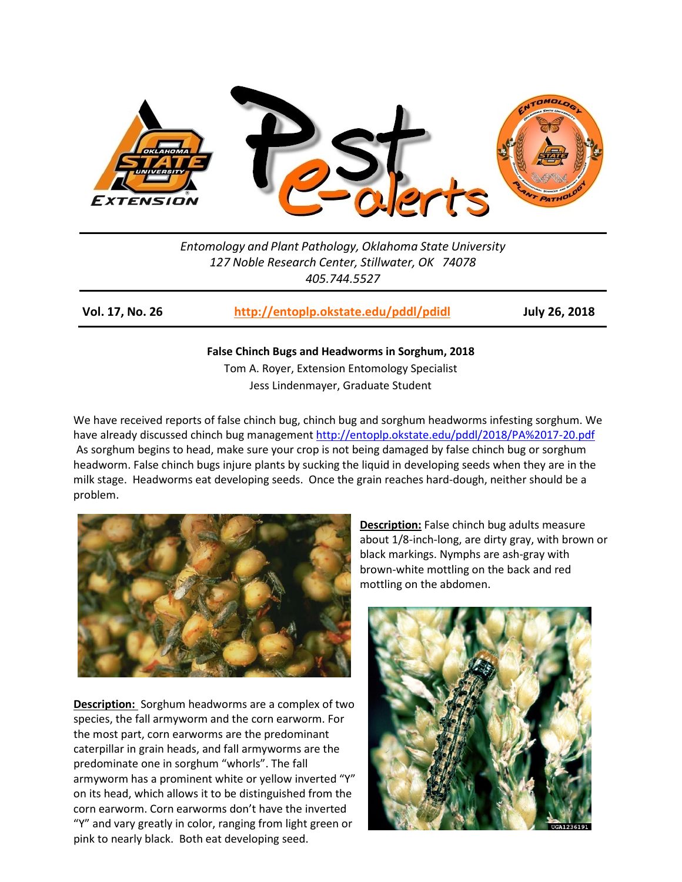

*Entomology and Plant Pathology, Oklahoma State University 127 Noble Research Center, Stillwater, OK 74078 405.744.5527*

**Vol. 17, No. 26 <http://entoplp.okstate.edu/pddl/pdidl> July 26, 2018**

**False Chinch Bugs and Headworms in Sorghum, 2018** Tom A. Royer, Extension Entomology Specialist

Jess Lindenmayer, Graduate Student

We have received reports of false chinch bug, chinch bug and sorghum headworms infesting sorghum. We have already discussed chinch bug management <http://entoplp.okstate.edu/pddl/2018/PA%2017-20.pdf> As sorghum begins to head, make sure your crop is not being damaged by false chinch bug or sorghum headworm. False chinch bugs injure plants by sucking the liquid in developing seeds when they are in the milk stage. Headworms eat developing seeds. Once the grain reaches hard-dough, neither should be a problem.



**Description:** Sorghum headworms are a complex of two species, the fall armyworm and the corn earworm. For the most part, corn earworms are the predominant caterpillar in grain heads, and fall armyworms are the predominate one in sorghum "whorls". The fall armyworm has a prominent white or yellow inverted "Y" on its head, which allows it to be distinguished from the corn earworm. Corn earworms don't have the inverted "Y" and vary greatly in color, ranging from light green or pink to nearly black. Both eat developing seed.

**Description:** False chinch bug adults measure about 1/8-inch-long, are dirty gray, with brown or black markings. Nymphs are ash-gray with brown-white mottling on the back and red mottling on the abdomen.

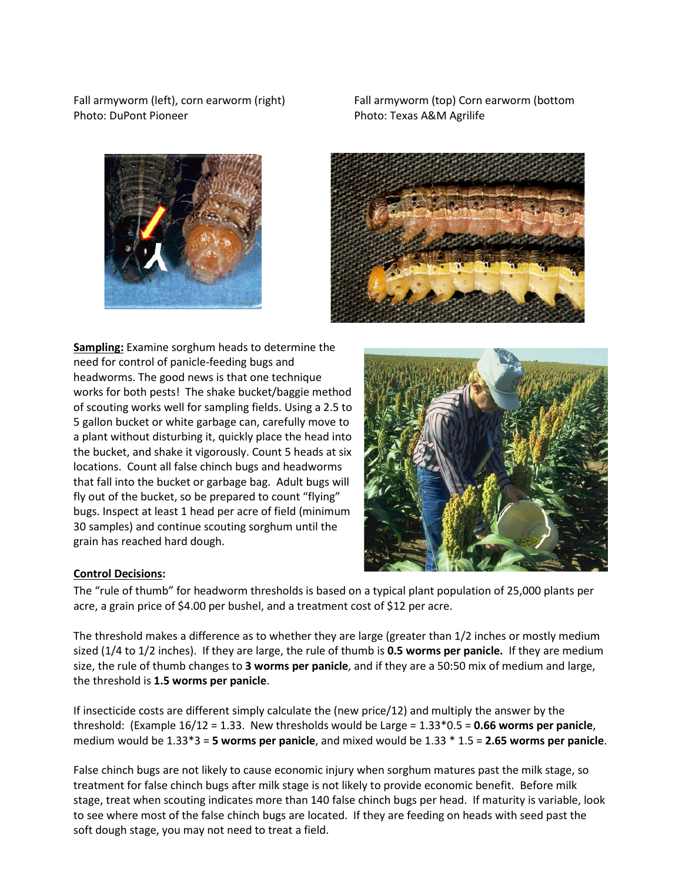Photo: DuPont Pioneer Photo: Texas A&M Agrilife



Fall armyworm (left), corn earworm (right) Fall armyworm (top) Corn earworm (bottom



**Sampling:** Examine sorghum heads to determine the need for control of panicle-feeding bugs and headworms. The good news is that one technique works for both pests! The shake bucket/baggie method of scouting works well for sampling fields. Using a 2.5 to 5 gallon bucket or white garbage can, carefully move to a plant without disturbing it, quickly place the head into the bucket, and shake it vigorously. Count 5 heads at six locations. Count all false chinch bugs and headworms that fall into the bucket or garbage bag. Adult bugs will fly out of the bucket, so be prepared to count "flying" bugs. Inspect at least 1 head per acre of field (minimum 30 samples) and continue scouting sorghum until the grain has reached hard dough.



## **Control Decisions:**

The "rule of thumb" for headworm thresholds is based on a typical plant population of 25,000 plants per acre, a grain price of \$4.00 per bushel, and a treatment cost of \$12 per acre.

The threshold makes a difference as to whether they are large (greater than 1/2 inches or mostly medium sized (1/4 to 1/2 inches). If they are large, the rule of thumb is **0.5 worms per panicle.** If they are medium size, the rule of thumb changes to **3 worms per panicle**, and if they are a 50:50 mix of medium and large, the threshold is **1.5 worms per panicle**.

If insecticide costs are different simply calculate the (new price/12) and multiply the answer by the threshold: (Example 16/12 = 1.33. New thresholds would be Large = 1.33\*0.5 = **0.66 worms per panicle**, medium would be 1.33\*3 = **5 worms per panicle**, and mixed would be 1.33 \* 1.5 = **2.65 worms per panicle**.

False chinch bugs are not likely to cause economic injury when sorghum matures past the milk stage, so treatment for false chinch bugs after milk stage is not likely to provide economic benefit. Before milk stage, treat when scouting indicates more than 140 false chinch bugs per head. If maturity is variable, look to see where most of the false chinch bugs are located. If they are feeding on heads with seed past the soft dough stage, you may not need to treat a field.